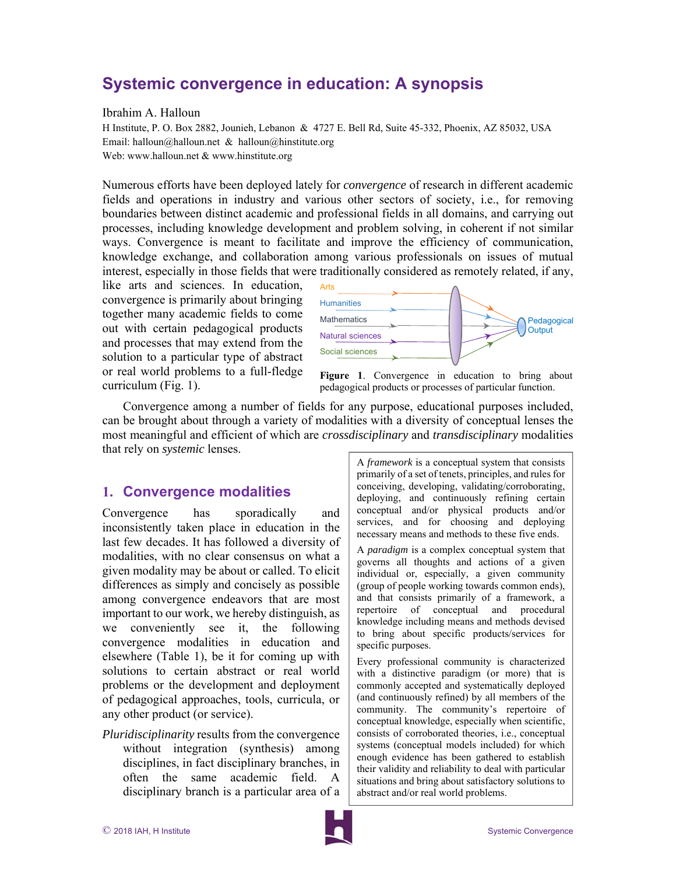# **Systemic convergence in education: A synopsis**

#### Ibrahim A. Halloun

H Institute, P. O. Box 2882, Jounieh, Lebanon & 4727 E. Bell Rd, Suite 45-332, Phoenix, AZ 85032, USA Email: halloun@halloun.net & halloun@hinstitute.org Web: www.halloun.net & www.hinstitute.org

Numerous efforts have been deployed lately for *convergence* of research in different academic fields and operations in industry and various other sectors of society, i.e., for removing boundaries between distinct academic and professional fields in all domains, and carrying out processes, including knowledge development and problem solving, in coherent if not similar ways. Convergence is meant to facilitate and improve the efficiency of communication, knowledge exchange, and collaboration among various professionals on issues of mutual interest, especially in those fields that were traditionally considered as remotely related, if any,

like arts and sciences. In education, convergence is primarily about bringing together many academic fields to come out with certain pedagogical products and processes that may extend from the solution to a particular type of abstract or real world problems to a full-fledge curriculum (Fig. 1).



**Figure 1**. Convergence in education to bring about pedagogical products or processes of particular function.

Convergence among a number of fields for any purpose, educational purposes included, can be brought about through a variety of modalities with a diversity of conceptual lenses the most meaningful and efficient of which are *crossdisciplinary* and *transdisciplinary* modalities that rely on *systemic* lenses.

### **1. Convergence modalities**

Convergence has sporadically and inconsistently taken place in education in the last few decades. It has followed a diversity of modalities, with no clear consensus on what a given modality may be about or called. To elicit differences as simply and concisely as possible among convergence endeavors that are most important to our work, we hereby distinguish, as we conveniently see it, the following convergence modalities in education and elsewhere (Table 1), be it for coming up with solutions to certain abstract or real world problems or the development and deployment of pedagogical approaches, tools, curricula, or any other product (or service).

*Pluridisciplinarity* results from the convergence without integration (synthesis) among disciplines, in fact disciplinary branches, in often the same academic field. A disciplinary branch is a particular area of a A *framework* is a conceptual system that consists primarily of a set of tenets, principles, and rules for conceiving, developing, validating/corroborating, deploying, and continuously refining certain conceptual and/or physical products and/or services, and for choosing and deploying necessary means and methods to these five ends.

A *paradigm* is a complex conceptual system that governs all thoughts and actions of a given individual or, especially, a given community (group of people working towards common ends), and that consists primarily of a framework, a repertoire of conceptual and procedural knowledge including means and methods devised to bring about specific products/services for specific purposes.

Every professional community is characterized with a distinctive paradigm (or more) that is commonly accepted and systematically deployed (and continuously refined) by all members of the community. The community's repertoire of conceptual knowledge, especially when scientific, consists of corroborated theories, i.e., conceptual systems (conceptual models included) for which enough evidence has been gathered to establish their validity and reliability to deal with particular situations and bring about satisfactory solutions to abstract and/or real world problems.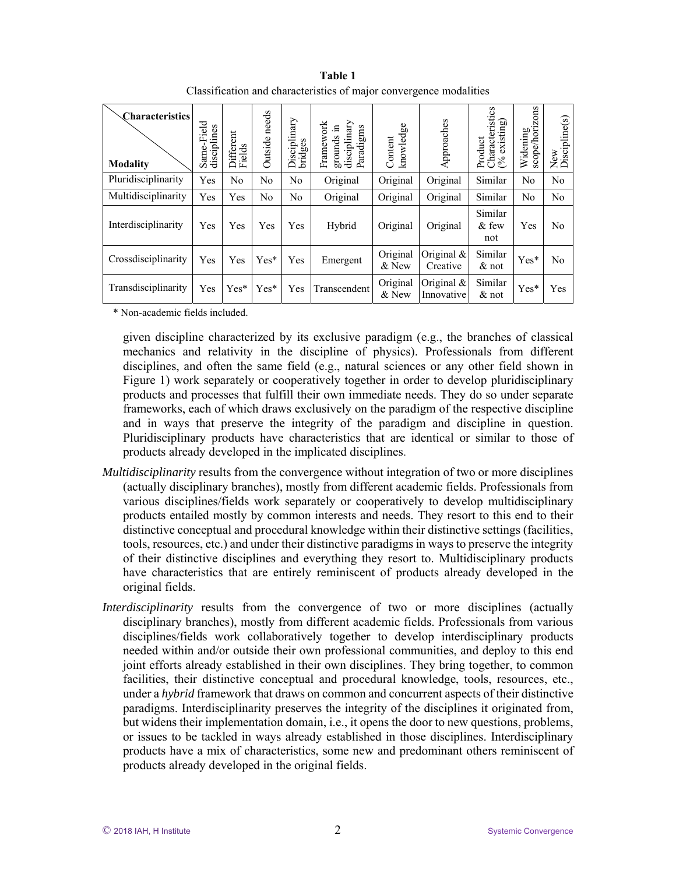| <b>Characteristics</b><br><b>Modality</b> | -Field<br>disciplines<br>Same- | Different<br>Fields | Outside needs  | Disciplinary<br>bridges | Framework<br>disciplinary<br>grounds in<br>Paradigms | knowledge<br>Content | Approaches                  | Characteristics<br>existing)<br>Product<br>$\infty$ | orizons<br>Widening<br>scope/h | ${\rm New}$ Discipline(s) |
|-------------------------------------------|--------------------------------|---------------------|----------------|-------------------------|------------------------------------------------------|----------------------|-----------------------------|-----------------------------------------------------|--------------------------------|---------------------------|
| Pluridisciplinarity                       | Yes                            | No                  | No             | No                      | Original                                             | Original             | Original                    | Similar                                             | No                             | No                        |
| Multidisciplinarity                       | Yes                            | Yes                 | N <sub>o</sub> | No                      | Original                                             | Original             | Original                    | Similar                                             | No                             | No                        |
| Interdisciplinarity                       | Yes                            | Yes                 | Yes            | Yes                     | Hybrid                                               | Original             | Original                    | Similar<br>$&$ few<br>not                           | Yes                            | No                        |
| Crossdisciplinarity                       | Yes                            | Yes                 | $Yes*$         | Yes                     | Emergent                                             | Original<br>$&$ New  | Original &<br>Creative      | Similar<br>$\&$ not                                 | $Yes*$                         | No                        |
| Transdisciplinarity                       | Yes                            | $Yes*$              | $Yes*$         | Yes                     | Transcendent                                         | Original<br>& New    | Original $\&$<br>Innovative | Similar<br>$&$ not                                  | Yes*                           | Yes                       |

**Table 1**  Classification and characteristics of major convergence modalities

\* Non-academic fields included.

given discipline characterized by its exclusive paradigm (e.g., the branches of classical mechanics and relativity in the discipline of physics). Professionals from different disciplines, and often the same field (e.g., natural sciences or any other field shown in Figure 1) work separately or cooperatively together in order to develop pluridisciplinary products and processes that fulfill their own immediate needs. They do so under separate frameworks, each of which draws exclusively on the paradigm of the respective discipline and in ways that preserve the integrity of the paradigm and discipline in question. Pluridisciplinary products have characteristics that are identical or similar to those of products already developed in the implicated disciplines.

- *Multidisciplinarity* results from the convergence without integration of two or more disciplines (actually disciplinary branches), mostly from different academic fields. Professionals from various disciplines/fields work separately or cooperatively to develop multidisciplinary products entailed mostly by common interests and needs. They resort to this end to their distinctive conceptual and procedural knowledge within their distinctive settings (facilities, tools, resources, etc.) and under their distinctive paradigms in ways to preserve the integrity of their distinctive disciplines and everything they resort to. Multidisciplinary products have characteristics that are entirely reminiscent of products already developed in the original fields.
- *Interdisciplinarity* results from the convergence of two or more disciplines (actually disciplinary branches), mostly from different academic fields. Professionals from various disciplines/fields work collaboratively together to develop interdisciplinary products needed within and/or outside their own professional communities, and deploy to this end joint efforts already established in their own disciplines. They bring together, to common facilities, their distinctive conceptual and procedural knowledge, tools, resources, etc., under a *hybrid* framework that draws on common and concurrent aspects of their distinctive paradigms. Interdisciplinarity preserves the integrity of the disciplines it originated from, but widens their implementation domain, i.e., it opens the door to new questions, problems, or issues to be tackled in ways already established in those disciplines. Interdisciplinary products have a mix of characteristics, some new and predominant others reminiscent of products already developed in the original fields.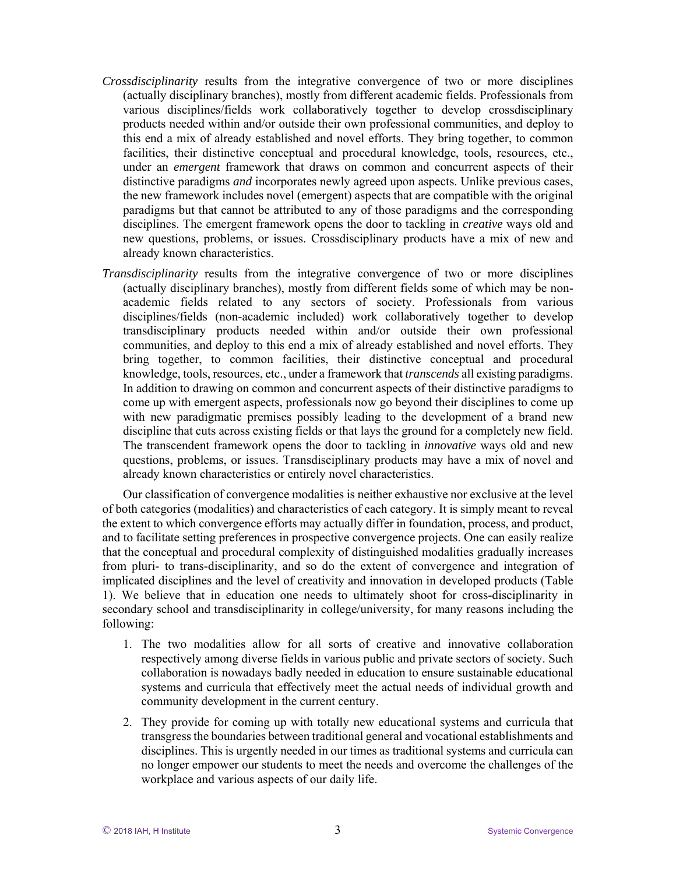- *Crossdisciplinarity* results from the integrative convergence of two or more disciplines (actually disciplinary branches), mostly from different academic fields. Professionals from various disciplines/fields work collaboratively together to develop crossdisciplinary products needed within and/or outside their own professional communities, and deploy to this end a mix of already established and novel efforts. They bring together, to common facilities, their distinctive conceptual and procedural knowledge, tools, resources, etc., under an *emergent* framework that draws on common and concurrent aspects of their distinctive paradigms *and* incorporates newly agreed upon aspects. Unlike previous cases, the new framework includes novel (emergent) aspects that are compatible with the original paradigms but that cannot be attributed to any of those paradigms and the corresponding disciplines. The emergent framework opens the door to tackling in *creative* ways old and new questions, problems, or issues. Crossdisciplinary products have a mix of new and already known characteristics.
- *Transdisciplinarity* results from the integrative convergence of two or more disciplines (actually disciplinary branches), mostly from different fields some of which may be nonacademic fields related to any sectors of society. Professionals from various disciplines/fields (non-academic included) work collaboratively together to develop transdisciplinary products needed within and/or outside their own professional communities, and deploy to this end a mix of already established and novel efforts. They bring together, to common facilities, their distinctive conceptual and procedural knowledge, tools, resources, etc., under a framework that *transcends* all existing paradigms. In addition to drawing on common and concurrent aspects of their distinctive paradigms to come up with emergent aspects, professionals now go beyond their disciplines to come up with new paradigmatic premises possibly leading to the development of a brand new discipline that cuts across existing fields or that lays the ground for a completely new field. The transcendent framework opens the door to tackling in *innovative* ways old and new questions, problems, or issues. Transdisciplinary products may have a mix of novel and already known characteristics or entirely novel characteristics.

Our classification of convergence modalities is neither exhaustive nor exclusive at the level of both categories (modalities) and characteristics of each category. It is simply meant to reveal the extent to which convergence efforts may actually differ in foundation, process, and product, and to facilitate setting preferences in prospective convergence projects. One can easily realize that the conceptual and procedural complexity of distinguished modalities gradually increases from pluri- to trans-disciplinarity, and so do the extent of convergence and integration of implicated disciplines and the level of creativity and innovation in developed products (Table 1). We believe that in education one needs to ultimately shoot for cross-disciplinarity in secondary school and transdisciplinarity in college/university, for many reasons including the following:

- 1. The two modalities allow for all sorts of creative and innovative collaboration respectively among diverse fields in various public and private sectors of society. Such collaboration is nowadays badly needed in education to ensure sustainable educational systems and curricula that effectively meet the actual needs of individual growth and community development in the current century.
- 2. They provide for coming up with totally new educational systems and curricula that transgress the boundaries between traditional general and vocational establishments and disciplines. This is urgently needed in our times as traditional systems and curricula can no longer empower our students to meet the needs and overcome the challenges of the workplace and various aspects of our daily life.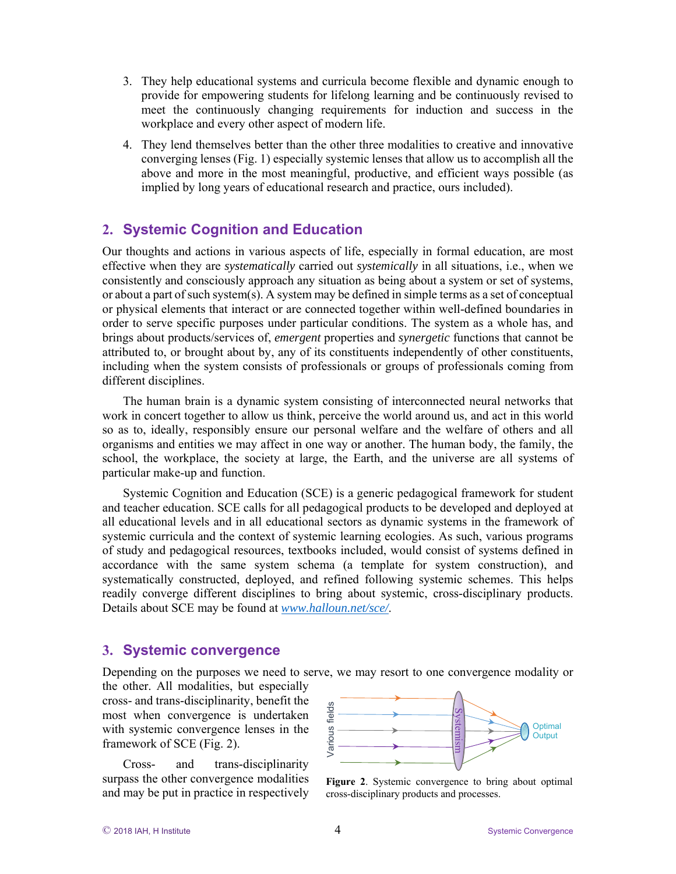- 3. They help educational systems and curricula become flexible and dynamic enough to provide for empowering students for lifelong learning and be continuously revised to meet the continuously changing requirements for induction and success in the workplace and every other aspect of modern life.
- 4. They lend themselves better than the other three modalities to creative and innovative converging lenses (Fig. 1) especially systemic lenses that allow us to accomplish all the above and more in the most meaningful, productive, and efficient ways possible (as implied by long years of educational research and practice, ours included).

## **2. Systemic Cognition and Education**

Our thoughts and actions in various aspects of life, especially in formal education, are most effective when they are *systematically* carried out *systemically* in all situations, i.e., when we consistently and consciously approach any situation as being about a system or set of systems, or about a part of such system(s). A system may be defined in simple terms as a set of conceptual or physical elements that interact or are connected together within well-defined boundaries in order to serve specific purposes under particular conditions. The system as a whole has, and brings about products/services of, *emergent* properties and *synergetic* functions that cannot be attributed to, or brought about by, any of its constituents independently of other constituents, including when the system consists of professionals or groups of professionals coming from different disciplines.

The human brain is a dynamic system consisting of interconnected neural networks that work in concert together to allow us think, perceive the world around us, and act in this world so as to, ideally, responsibly ensure our personal welfare and the welfare of others and all organisms and entities we may affect in one way or another. The human body, the family, the school, the workplace, the society at large, the Earth, and the universe are all systems of particular make-up and function.

Systemic Cognition and Education (SCE) is a generic pedagogical framework for student and teacher education. SCE calls for all pedagogical products to be developed and deployed at all educational levels and in all educational sectors as dynamic systems in the framework of systemic curricula and the context of systemic learning ecologies. As such, various programs of study and pedagogical resources, textbooks included, would consist of systems defined in accordance with the same system schema (a template for system construction), and systematically constructed, deployed, and refined following systemic schemes. This helps readily converge different disciplines to bring about systemic, cross-disciplinary products. Details about SCE may be found at *www.halloun.net/sce/*.

#### **3. Systemic convergence**

Depending on the purposes we need to serve, we may resort to one convergence modality or

the other. All modalities, but especially cross- and trans-disciplinarity, benefit the most when convergence is undertaken with systemic convergence lenses in the framework of SCE (Fig. 2).

Cross- and trans-disciplinarity surpass the other convergence modalities and may be put in practice in respectively



**Figure 2**. Systemic convergence to bring about optimal cross-disciplinary products and processes.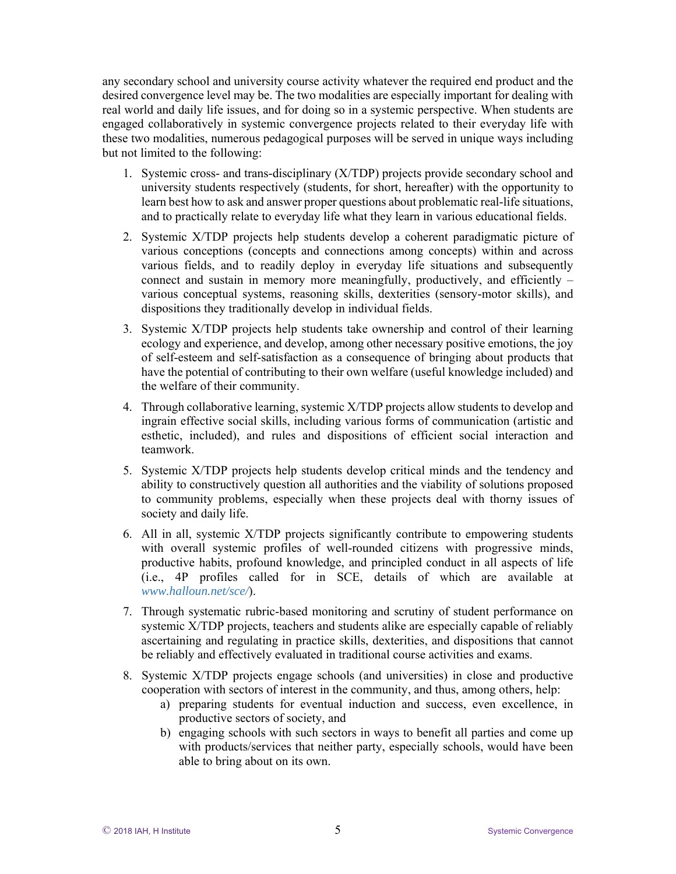any secondary school and university course activity whatever the required end product and the desired convergence level may be. The two modalities are especially important for dealing with real world and daily life issues, and for doing so in a systemic perspective. When students are engaged collaboratively in systemic convergence projects related to their everyday life with these two modalities, numerous pedagogical purposes will be served in unique ways including but not limited to the following:

- 1. Systemic cross- and trans-disciplinary (X/TDP) projects provide secondary school and university students respectively (students, for short, hereafter) with the opportunity to learn best how to ask and answer proper questions about problematic real-life situations, and to practically relate to everyday life what they learn in various educational fields.
- 2. Systemic X/TDP projects help students develop a coherent paradigmatic picture of various conceptions (concepts and connections among concepts) within and across various fields, and to readily deploy in everyday life situations and subsequently connect and sustain in memory more meaningfully, productively, and efficiently – various conceptual systems, reasoning skills, dexterities (sensory-motor skills), and dispositions they traditionally develop in individual fields.
- 3. Systemic X/TDP projects help students take ownership and control of their learning ecology and experience, and develop, among other necessary positive emotions, the joy of self-esteem and self-satisfaction as a consequence of bringing about products that have the potential of contributing to their own welfare (useful knowledge included) and the welfare of their community.
- 4. Through collaborative learning, systemic X/TDP projects allow students to develop and ingrain effective social skills, including various forms of communication (artistic and esthetic, included), and rules and dispositions of efficient social interaction and teamwork.
- 5. Systemic X/TDP projects help students develop critical minds and the tendency and ability to constructively question all authorities and the viability of solutions proposed to community problems, especially when these projects deal with thorny issues of society and daily life.
- 6. All in all, systemic X/TDP projects significantly contribute to empowering students with overall systemic profiles of well-rounded citizens with progressive minds, productive habits, profound knowledge, and principled conduct in all aspects of life (i.e., 4P profiles called for in SCE, details of which are available at *www.halloun.net/sce/*).
- 7. Through systematic rubric-based monitoring and scrutiny of student performance on systemic X/TDP projects, teachers and students alike are especially capable of reliably ascertaining and regulating in practice skills, dexterities, and dispositions that cannot be reliably and effectively evaluated in traditional course activities and exams.
- 8. Systemic X/TDP projects engage schools (and universities) in close and productive cooperation with sectors of interest in the community, and thus, among others, help:
	- a) preparing students for eventual induction and success, even excellence, in productive sectors of society, and
	- b) engaging schools with such sectors in ways to benefit all parties and come up with products/services that neither party, especially schools, would have been able to bring about on its own.